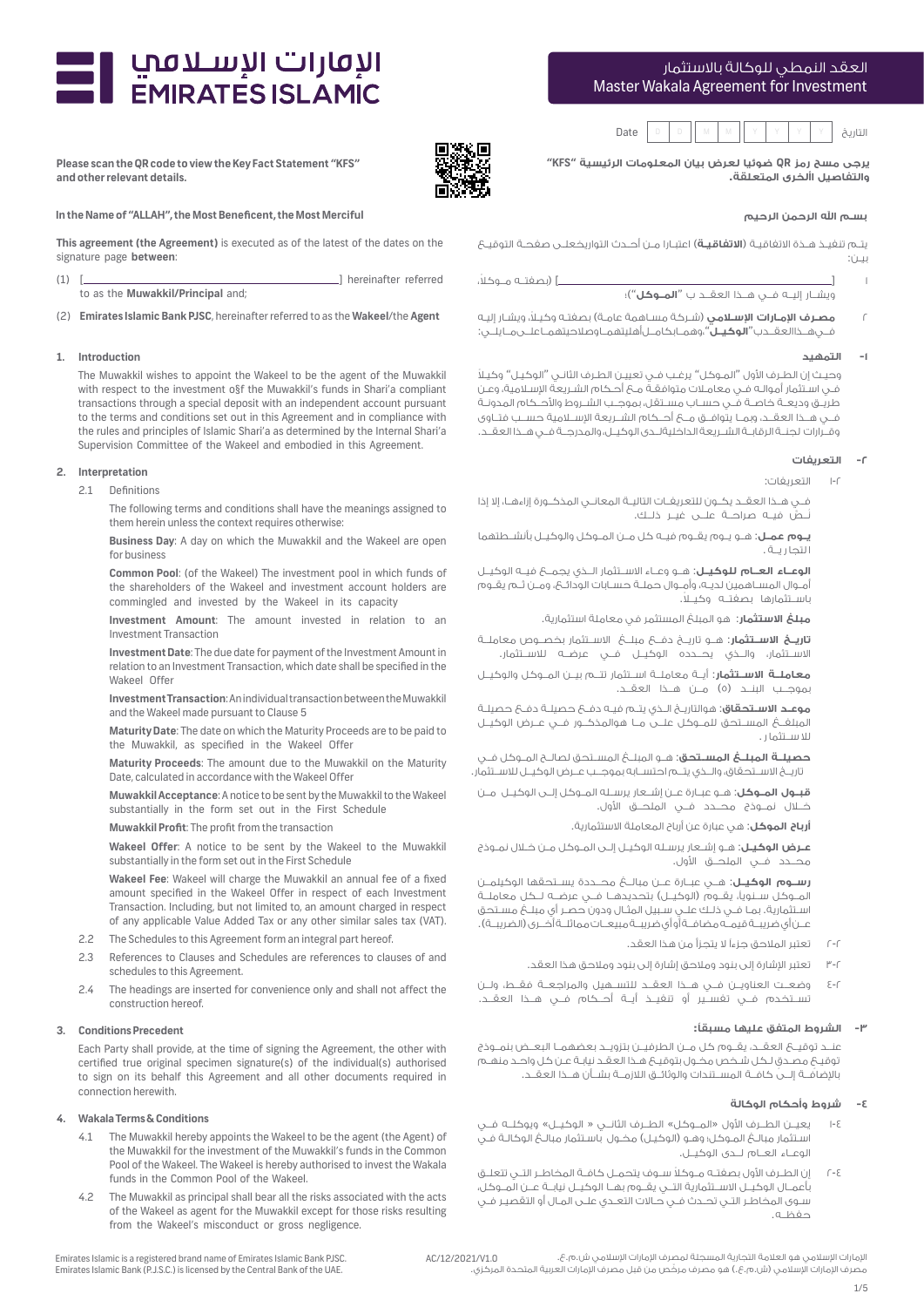# Master Wakala Agreement for Investment العقد النمطي للوكالة باالستثمار



**يرجى مسح رمز QR ضوئيا لعرض بيان المعلومات الرئيسية "KFS" والتفاصيل األخرى المتعلقة.**

#### **بسـم اهلل الرحمن الرحيم**

يتـم تنفيـذ هـذة االتفاقيـة )**االتفاقيـة**( اعتبـارا مـن أحـدث التواريخعلـى صفحـة التوقيـع بيـن:

1 ] [ ً )بصفتــه مــوكال، ويشــار إليــه فــي هــذا العقــد ب "**المــوكل**"(؛

2 **مصـرف اإلمـارات اإلسـامي** )شـركة مسـاهمة عامـة( بصفتـه وكيـ ًا، ويشـار إليـه فــي هــذا العقــد ب "**الوكيــل**"، وهمــا بكامــل أهليتهمــا وصالحيتهمــا علــى مــا يلــي:

### **-1 التمهيد**

وحيـث إن الطـرف الأول "المـوكل" يرغـب فـي تعييـن الطـرف الثانـي "الوكيـل" وكيـلاً فـي اسـتثمار أموالـه فـي معامـات متوافقـة مـع أحـكام الشـريعة اإلسـامية، وعـن طريــق وديعــة خاصــة فــي حســاب مســتقل، بموجــب الشــروط واألحــكام المدونــة فــي هــذا العقــد، وبمــا يتوافــق مــع أحــكام الشــريعة اإلســامية حســب فتــاوى وقــرارات لجنــة الرقابــة الشــريعة الداخليةلــدى الوكيــل، والمدرجــة فــي هــذا العقــد.

### **-2 التعريفات**

1-2 التعريفات:

فــي هــذا العقــد يكــون للتعريفــات التاليــة المعانــي المذكــورة إزاءهــا، إال إذا ُن َّ ــص فيــه صراحــة علــى غيــر ذلــك.

**يــوم عمــل**: هــو يــوم يقــوم فيــه كل مــن المــوكل والوكيــل بأنشــطتهما ا لتجا ر يــة .

**الوعــاء العــام للوكيــل**: هــو وعــاء االســتثمار الــذي يجمــع فيــه الوكيــل أمــوال المســاهمين لديــه، وأمــوال حملــة حســابات الودائــع، ومــن ثــم يقــوم باســتثمارها بصفتــه وكيــ ًا.

**مبلغ االستثمار**: هو المبلغ المستثمر في معاملة استثمارية.

**تاريــخ االســتثمار**: هــو تاريــخ دفــع مبلــغ االســتثمار بخصــوص معاملــة االســتثمار، والــذي يحــدده الوكيــل فــي عرضــه لالســتثمار.

**معاملــة االســتثمار**: أيــة معاملــة اســتثمار تتــم بيــن المــوكل والوكيــل بموجــب البنــد (٥) مــن هــذا العقــد.

**موعـد االسـتحقاق**: هوالتاريـخ الـذي يتـم فيـه دفـع حصيلـة دفـع حصيلـة المبلفــغ المســتحق للمــوكل علــى مــا هوالمذكــور فــي عــرض الوكيــل لال ســتثما ر .

**حصيلــة المبلــغ المســتحق**: هــو المبلــغ المســتحق لصالــح المــوكل فــي تاريــخ االســتحقاق، والــذي يتــم احتســابه بموجــب عــرض الوكيــل لالســتثمار.

**قبــول المــوكل**: هــو عبــارة عــن إشــعار يرســله المــوكل إلــى الوكيــل مــن خــال نمــوذج محــدد فــي الملحــق األول.

**أرباح الموكل**: هي عبارة عن أرباح المعاملة االستثمارية.

**عــرض الوكيــل**: هــو إشــعار يرســله الوكيــل إلــى المــوكل مــن خــال نمــوذج محــدد فــي الملحــق األول.

**رســوم الوكيــل**: هــي عبــارة عــن مبالــغ محــددة يســتحقها الوكيلمــن المــوكل ســنوياً، يقــوم (الوكيــل) بتحديدهــا فـــي عرضــه لــكل معاملــة اسـتثمارية. بمـا فـي ذلـك علـي سـبيل المثـال ودون حصـر أي مبلـغ مسـتحق عـــن أي ضريبـــة قيمـــه مضافـــة أو أي ضريبـــة مبيعـــات مماثلـــة أخـــرى (الضريبــة) .

- 2-2 تعتبر المالحق جزءًا ال يتجزأ من هذا العقد.
- 3-2 تعتبر اإلشارة إلى بنود ومالحق إشارة إلى بنود ومالحق هذا العقد.
- 4-2 وضعــت العناويــن فــي هــذا العقــد للتســهيل والمراجعــة فقــط، ولــن تســتخدم فــي تفســير أو تنفيــذ أيــة أحــكام فــي هــذا العقــد.

### **-3 الشروط المتفق عليها مسبقًا:**

عنــد توقيــع العقــد، يقــوم كل مــن الطرفيــن بتزويــد بعضهمــا البعــض بنمــوذج ٍ توقيـع ٍ مصـدق لـكل شـخص مخـول بتوقيـع هـذا العقـد نيابـة عـن كل واحـد منهـم باإلضافــة إلــى كافــة المســتندات والوثائــق الالزمــة بشــأن هــذا العقــد.

### **-4 شروط وأحكام الوكالة**

1/5

- 1-4 يعيــن الطــرف األول »المــوكل« الطــرف الثانــي » الوكيــل« ويوكلــه فــي اسـتثمار مبالــغ المـوكل؛ وهـو (الوكيـل) مخـول باسـتثمار مبالــغ الوكالـة فـي الوعــاء العــام لــدى الوكيــل.
- 2-4 ً إن الطــرف األول بصفتــه مــوكال ســوف يتحمــل كافــة المخاطــر التــي تتعلــق بأعمــال الوكيــل االســتثمارية التــي يقــوم بهــا الوكيــل نيابــة عــن المــوكل، سـوى المخاطـر التـي تحـدث فـي حـاالت التعـدي علـى المـال أو التقصيـر فـي حفظــه.

**Please scan the QR code to view the Key Fact Statement "KFS" and other relevant details.**

ועסונט ועשענושן<br>EMIRATES ISLAMIC

## **In the Name of "ALLAH", the Most Beneficent, the Most Merciful**

**This agreement (the Agreement)** is executed as of the latest of the dates on the signature page **between**:

(1) [ ] hereinafter referred to as the **Muwakkil/Principal** and;

(2) **Emirates Islamic Bank PJSC**, hereinafter referred to as the **Wakeel**/the **Agent**

#### **1. Introduction**

The Muwakkil wishes to appoint the Wakeel to be the agent of the Muwakkil with respect to the investment o§f the Muwakkil's funds in Shari'a compliant transactions through a special deposit with an independent account pursuant to the terms and conditions set out in this Agreement and in compliance with the rules and principles of Islamic Shari'a as determined by the Internal Shari'a Supervision Committee of the Wakeel and embodied in this Agreement.

### **2. Interpretation**

2.1 Definitions

 The following terms and conditions shall have the meanings assigned to them herein unless the context requires otherwise:

 **Business Day**: A day on which the Muwakkil and the Wakeel are open for business

 **Common Pool**: (of the Wakeel) The investment pool in which funds of the shareholders of the Wakeel and investment account holders are commingled and invested by the Wakeel in its capacity

 **Investment Amount**: The amount invested in relation to an Investment Transaction

 **Investment Date**: The due date for payment of the Investment Amount in relation to an Investment Transaction, which date shall be specified in the Wakeel Offer

 **Investment Transaction**: An individual transaction between the Muwakkil and the Wakeel made pursuant to Clause 5

 **Maturity Date**: The date on which the Maturity Proceeds are to be paid to the Muwakkil, as specified in the Wakeel Offer

 **Maturity Proceeds**: The amount due to the Muwakkil on the Maturity Date, calculated in accordance with the Wakeel Offer

 **Muwakkil Acceptance**: A notice to be sent by the Muwakkil to the Wakeel substantially in the form set out in the First Schedule

**Muwakkil Profit**: The profit from the transaction

 **Wakeel Offer**: A notice to be sent by the Wakeel to the Muwakkil substantially in the form set out in the First Schedule

 **Wakeel Fee**: Wakeel will charge the Muwakkil an annual fee of a fixed amount specified in the Wakeel Offer in respect of each Investment Transaction. Including, but not limited to, an amount charged in respect of any applicable Value Added Tax or any other similar sales tax (VAT).

- 2.2 The Schedules to this Agreement form an integral part hereof.
- 2.3 References to Clauses and Schedules are references to clauses of and schedules to this Agreement.
- 2.4 The headings are inserted for convenience only and shall not affect the construction hereof.

#### **3. Conditions Precedent**

Each Party shall provide, at the time of signing the Agreement, the other with certified true original specimen signature(s) of the individual(s) authorised to sign on its behalf this Agreement and all other documents required in connection herewith.

#### **4. Wakala Terms & Conditions**

- 4.1 The Muwakkil hereby appoints the Wakeel to be the agent (the Agent) of the Muwakkil for the investment of the Muwakkil's funds in the Common Pool of the Wakeel. The Wakeel is hereby authorised to invest the Wakala funds in the Common Pool of the Wakeel.
- 4.2 The Muwakkil as principal shall bear all the risks associated with the acts of the Wakeel as agent for the Muwakkil except for those risks resulting from the Wakeel's misconduct or gross negligence.





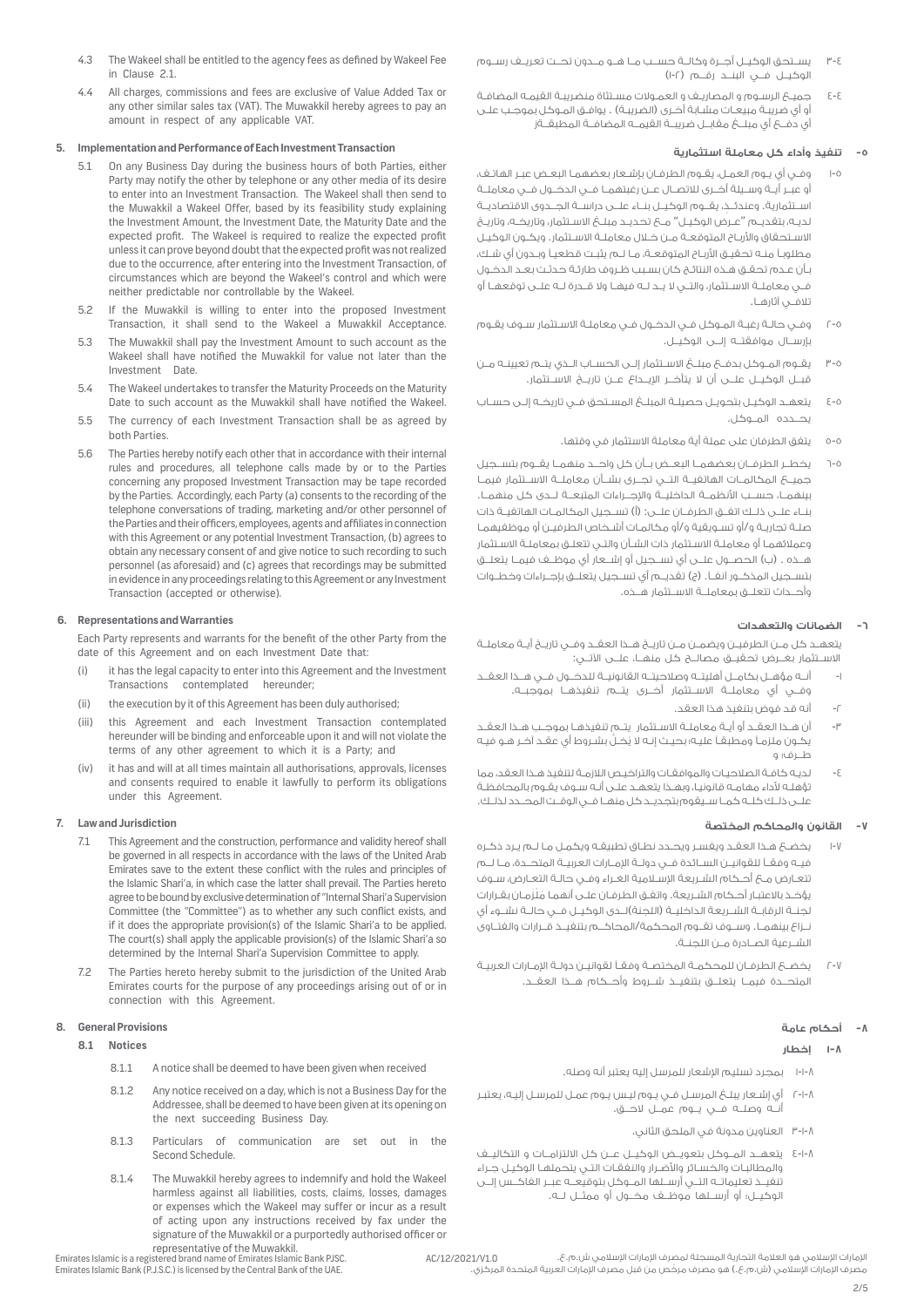- 3-4 يســتحق الوكيــل أجــرة وكالــة حســب مــا هــو مــدون تحــت تعريــف رســوم الوكيــل فــي البنــد رقـــم (١-٢)
- 4-4 جميـع الرسـوم و المصاريـف و العمـوالت مسـتثاة منضريبـة القيمـه المضافـة أو أي ضريبـة مبيعـات مشـابة أخـرى )الضريبـة( . يوافـق المـوكل بموجـب علـى أي دفــع أي مبلــغ مقابــل ضريبــة القيمــه المضافــة المطبقــةز

# **-5 تنفيذ وأداء كل معاملة استثمارية**

- 1-5 وفـي أي يـوم العمـل، يقـوم الطرفـان بإشـعار بعضهمـا البعـض عبـر الهاتـف، أو عبــر أيــة وســيلة أخــرى لالتصــال عــن رغبتهمــا فــي الدخــول فــي معاملــة ٍ اســتثمارية. وعندئــذ، يقــوم الوكيــل بنــاء علــى دراســة الجــدوى االقتصاديــة لديـه، بتقديـم "عـرض الوكيـل" مـع تحديـد مبلـغ االسـتثمار، وتاريخـه، وتاريـخ الاسـتحقاق والأربـاح المتوقعـة مـن خـلال معاملـة الاسـتثمار. ويكـون الوكيـل مطلوبـا منـه تحقيـق األربـاح المتوقعـة، مـا لـم يثبـت قطعيـا وبـدون أي شـك، بـأن عـدم تحقـق هـذه النتائـج كان بسـبب ظـروف طارئـة حدثـت بعـد الدخـول فــي معاملــة االســتثمار، والتــي ال يــد لــه فيهــا وال قــدرة لــه علــى توقعهــا أو تالفــي آثارهــا.
- 2-5 وفـي حالـة رغبـة المـوكل فـي الدخـول فـي معاملـة االسـتثمار سـوف يقـوم بإرســال موافقتــه إلــى الوكيــل.
- 3-5 يقــوم المــوكل بدفــع مبلــغ االســتثمار إلــى الحســاب الــذي يتــم تعيينــه مــن قبــل الوكيــل علــى أن ال يتأخــر اإليــداع عــن تاريــخ االســتثمار.
- 4-5 يتعهـد الوكيـل بتحويـل حصيلـة المبلـغ المسـتحق فـي تاريخـه إلـى حسـاب يحــدده المــوكل.
	- 5-5 يتفق الطرفان على عملة أية معاملة االستثمار في وقتها.
- 6-5 يخطــر الطرفــان بعضهمــا البعــض بــأن كل واحــد منهمــا يقــوم بتســجيل جميــع المكالمــات الهاتفيــة التــي تجــرى بشــأن معاملــة االســتثمار فيمــا بينهمــا، حســب األنظمــة الداخليــة واإلجــراءات المتبعــة لــدى كل منهمــا. بنــاء علــى ذلــك اتفــق الطرفــان علــى: )أ( تســجيل المكالمــات الهاتفيــة ذات صلـة تجاريـة و/أو تسـويقية و/أو مكالمـات أشـخاص الطرفيـن أو موظفيهمـا وعمالئهمـا أو معاملـة االسـتثمار ذات الشـأن والتـي تتعلـق بمعاملـة االسـتثمار هــذه . (ب) الحصــول علـــى أي تســجيل أو إشـــعار أي موظــف فيمــا يتعلــق بتســجيل المذكــور آنفــا. )ج( تقديــم أي تســجيل يتعلــق بإجــراءات وخطــوات وأحــداث تتعلــق بمعاملــة االســتثمار هــذه.

# **-6 الضمانات والتعهدات**

يتعهــد كل مــن الطرفيــن ويضمــن مــن تاريــخ هــذا العقــد وفــي تاريــخ أيــة معاملــة االســتثمار بغــرض تحقيــق مصالــح كل منهــا، علــى اآلتــي:

- -1 أنــه مؤهــل بكامــل أهليتــه وصالحيتــه القانونيــة للدخــول فــي هــذا العقــد وفــي أي معاملــة االســتثمار أخــرى يتــم تنفيذهــا بموجبــه.
	- -2 أنه قد فوض بتنفيذ هذا العقد.
- -3 أن هــذا العقــد أو أيــة معاملــة االســتثمار يتــم تنفيذهــا بموجــب هــذا العقــد يكـون ملزمـا ومطبقـا ُ عليـه؛ بحيـث إنـه ال ي ِخ ُّ ـل بشـروط أي عقـد آخـر هـو فيـه طــرف؛ و
- -4 لديـه كافـة الصالحيـات والموافقـات والتراخيـص الالزمـة لتنفيذ هـذا العقد، مما تؤهلـه ألداء مهامـه قانونيـا، وبهـذا يتعهـد علـى أنـه سـوف يقـوم بالمحافظـة علــى ذلــك كلــه كمــا ســيقوم بتجديــد كل منهــا فــي الوقــت المحــدد لذلــك.

## **-7 القانون والمحاكم المختصة**

- 1-7 يخضـع هـذا العقـد ويفسـر ويحـدد نطـاق تطبيقـه ويكمـل مـا لـم يـرد ذكـره فيــه وفقــا للقوانيــن الســائدة فــي دولــة اإلمــارات العربيــة المتحــدة، مــا لــم تتعـارض مـع أحـكام الشـريعة اإلسـامية الغـراء وفـي حالـة التعـارض، سـوف ُ يؤخـذ باالعتبـار أحـكام الشـريعة. واتفـق الطرفـان علـى أنهمـا مْلَزمـان بقـرارات لجنــة الرقابــة الشــريعة الداخليــة )اللجنة(لــدى الوكيــل فــي حالــة نشــوء أي نــزاع بينهمــا. وســوف تقــوم المحكمة/المحاكــم بتنفيــذ قــرارات والفتــاوى الشــرعية الصــادرة مــن اللجنــة.
- 2-7 يخضـع الطرفـان للمحكمـة المختصـة وفقـا لقوانيـن دولـة اإلمـارات العربيـة المتحــدة فيمــا يتعلــق بتنفيــذ شــروط وأحــكام هــذا العقــد.

## **-8 أحكام عامة**

## **1-8 إخطار**

- 1-1-8 بمجرد تسليم اإلشعار للمرسل إليه يعتبر أنه وصله.
- 2-1-8 أي إشـعار يبلـغ المرسـل فـي يـوم ليـس يـوم عمـل للمرسـل إليـه، يعتبـر أنــه وصلــه فــي يــوم عمــل الحــق.
	- 3-1-8 العناوين مدونة في الملحق الثاني.
- 4-1-8 يتعهــد المــوكل بتعويــض الوكيــل عــن كل االلتزامــات و التكاليــف والمطالبـات والخسـائر واألضـرار والنفقـات التـي يتحملهـا الوكيـل جـراء تنفيــذ تعليماتــه التــي أرســلها المــوكل بتوقيعــه عبــر الفاكــس إلــى الوكيــل؛ أو أرســلها موظــف مخــول أو ممثــل لــه.
- 4.3 The Wakeel shall be entitled to the agency fees as defined by Wakeel Fee in Clause 2.1.
- 4.4 All charges, commissions and fees are exclusive of Value Added Tax or any other similar sales tax (VAT). The Muwakkil hereby agrees to pay an amount in respect of any applicable VAT.

## **5. Implementation and Performance of Each Investment Transaction**

- 5.1 On any Business Day during the business hours of both Parties, either Party may notify the other by telephone or any other media of its desire to enter into an Investment Transaction. The Wakeel shall then send to the Muwakkil a Wakeel Offer, based by its feasibility study explaining the Investment Amount, the Investment Date, the Maturity Date and the expected profit. The Wakeel is required to realize the expected profit unless it can prove beyond doubt that the expected profit was not realized due to the occurrence, after entering into the Investment Transaction, of circumstances which are beyond the Wakeel's control and which were neither predictable nor controllable by the Wakeel.
- 5.2 If the Muwakkil is willing to enter into the proposed Investment Transaction, it shall send to the Wakeel a Muwakkil Acceptance.
- 5.3 The Muwakkil shall pay the Investment Amount to such account as the Wakeel shall have notified the Muwakkil for value not later than the Investment Date.
- 5.4 The Wakeel undertakes to transfer the Maturity Proceeds on the Maturity Date to such account as the Muwakkil shall have notified the Wakeel.
- 5.5 The currency of each Investment Transaction shall be as agreed by both Parties.
- 5.6 The Parties hereby notify each other that in accordance with their internal rules and procedures, all telephone calls made by or to the Parties concerning any proposed Investment Transaction may be tape recorded by the Parties. Accordingly, each Party (a) consents to the recording of the telephone conversations of trading, marketing and/or other personnel of the Parties and their officers, employees, agents and affiliates in connection with this Agreement or any potential Investment Transaction, (b) agrees to obtain any necessary consent of and give notice to such recording to such personnel (as aforesaid) and (c) agrees that recordings may be submitted in evidence in any proceedings relating to this Agreement or any Investment Transaction (accepted or otherwise).

## **6. Representations and Warranties**

Each Party represents and warrants for the benefit of the other Party from the date of this Agreement and on each Investment Date that:

- (i) it has the legal capacity to enter into this Agreement and the Investment Transactions contemplated hereunder;
- (ii) the execution by it of this Agreement has been duly authorised;
- (iii) this Agreement and each Investment Transaction contemplated hereunder will be binding and enforceable upon it and will not violate the terms of any other agreement to which it is a Party; and
- (iv) it has and will at all times maintain all authorisations, approvals, licenses and consents required to enable it lawfully to perform its obligations under this Agreement.

## **7. Law and Jurisdiction**

- 7.1 This Agreement and the construction, performance and validity hereof shall be governed in all respects in accordance with the laws of the United Arab Emirates save to the extent these conflict with the rules and principles of the Islamic Shari'a, in which case the latter shall prevail. The Parties hereto agree to be bound by exclusive determination of "Internal Shari'a Supervision Committee (the "Committee") as to whether any such conflict exists, and if it does the appropriate provision(s) of the Islamic Shari'a to be applied. The court(s) shall apply the applicable provision(s) of the Islamic Shari'a so determined by the Internal Shari'a Supervision Committee to apply.
- 7.2 The Parties hereto hereby submit to the jurisdiction of the United Arab Emirates courts for the purpose of any proceedings arising out of or in connection with this Agreement.

## **8. General Provisions**

## **8.1 Notices**

- 8.1.1 A notice shall be deemed to have been given when received
- 8.1.2 Any notice received on a day, which is not a Business Day for the Addressee, shall be deemed to have been given at its opening on the next succeeding Business Day.
- 8.1.3 Particulars of communication are set out in the Second Schedule.
- 8.1.4 The Muwakkil hereby agrees to indemnify and hold the Wakeel harmless against all liabilities, costs, claims, losses, damages or expenses which the Wakeel may suffer or incur as a result of acting upon any instructions received by fax under the signature of the Muwakkil or a purportedly authorised officer or representative of the Muwakkil.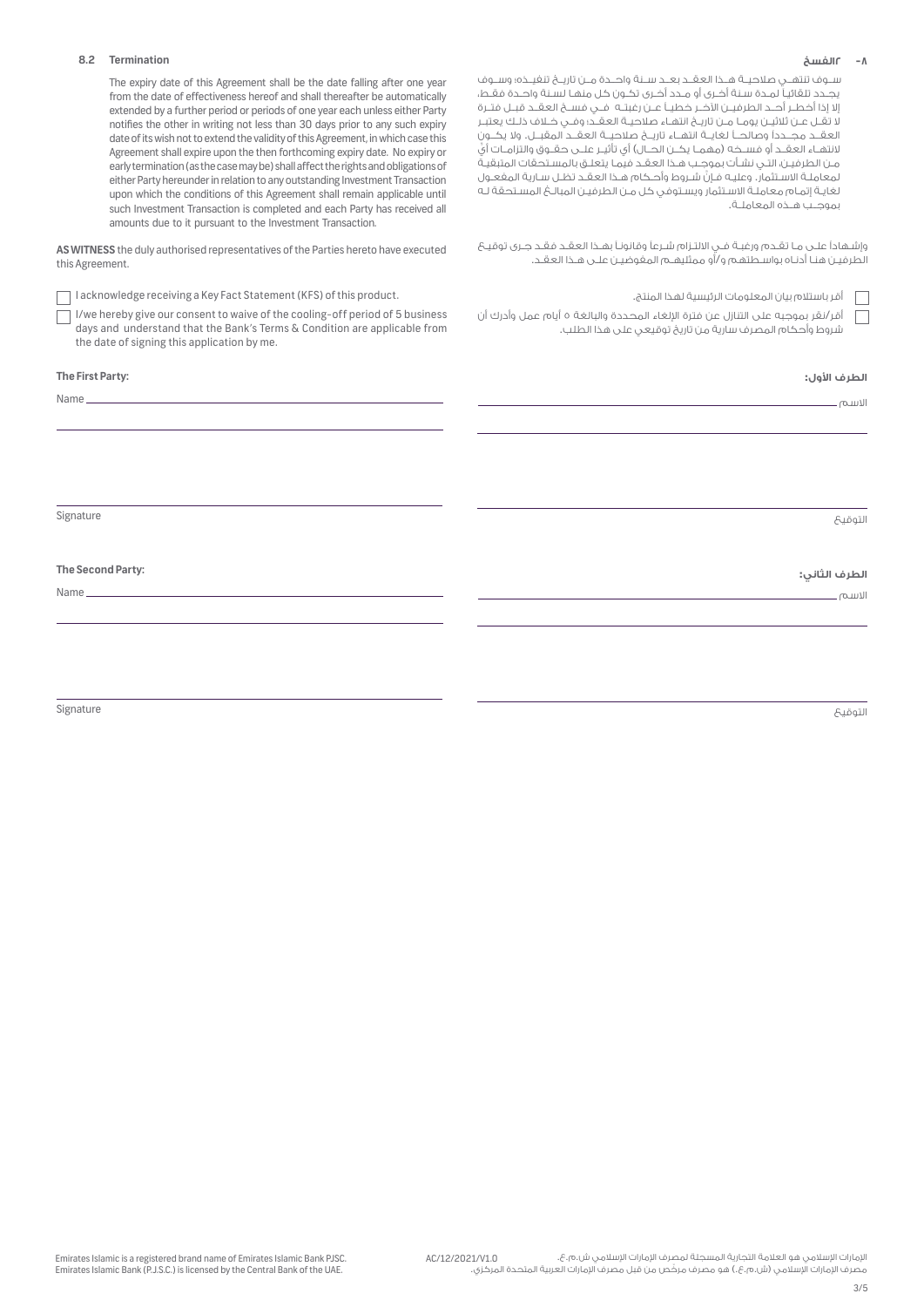### **-8 2الفسخ**

ســوف تنتهــي صالحيــة هــذا العقــد بعــد ســنة واحــدة مــن تاريــخ تنفيــذه؛ وســوف يجـدد تلقائيـا لمـدة سـنة أخـرى أو مـدد أخـرى تكـون كل منهـا لسـنة واحـدة فقـط، إال إذا أخطــر أحــد الطرفيــن اآلخــر خطيــا عــن رغبتــه فــي فســخ العقــد قبــل فتــرة ال تقـل عـن ثالثيـن يومـا مـن تاريـخ انتهـاء صالحيـة العقـد؛ وفـي خـاف ذلـك يعتبـر العقــد مجــددًا وصالحــا لغايــة انتهــاء تاريــخ صالحيــة العقــد المقبــل. وال يكــون لانتهــاء العقــد أو فســخه (مهمــا يكــن الحــال) أي تأثيــر علــى حقــوق والتزامــات أيِّ مـن الطرفيـن، التـي نشـأت بموجـب هـذا العقـد فيمـا يتعلـق بالمسـتحقات المتبقيـة َّ لمعاملـة االسـتثمار. وعليـه فـإن شـروط وأحـكام هـذا العقـد تظـل سـارية المفعـول لغايـة إتمـام معاملـة االسـتثمار ويسـتوفي كل مـن الطرفيـن المبالـغ المسـتحقة لـه بموجــب هــذه المعاملــة.

وإشـهادًا علـى مـا تقـدم ورغبـة فـي االلتـزام شـرعًا وقانونـا بهـذا العقـد فقـد جـرى توقيـع الطرفيـن هنـا أدنـاه بواسـطتهم و/أو ممثليهـم المفوضيـن علـى هـذا العقـد.

| أقرباستلام بيان المعلومات الرئيسية لا |  |
|---------------------------------------|--|
|---------------------------------------|--|

أقر/نقر بموجبه على التنازل عن فترة اإللغاء المحددة والبالغة 5 أيام عمل وأدرك أن شروط وأحكام المصرف سارية من تاريخ توقيعي على هذا الطلب.

**الطرف األول:**

االسم

التوقيع

# **الطرف الثاني:**

االسم

التوقيع

**8.2 Termination**

 The expiry date of this Agreement shall be the date falling after one year from the date of effectiveness hereof and shall thereafter be automatically extended by a further period or periods of one year each unless either Party notifies the other in writing not less than 30 days prior to any such expiry date of its wish not to extend the validity of this Agreement, in which case this Agreement shall expire upon the then forthcoming expiry date. No expiry or early termination (as the case may be) shall affect the rights and obligations of either Party hereunder in relation to any outstanding Investment Transaction upon which the conditions of this Agreement shall remain applicable until such Investment Transaction is completed and each Party has received all amounts due to it pursuant to the Investment Transaction.

**AS WITNESS** the duly authorised representatives of the Parties hereto have executed this Agreement.

I acknowledge receiving a Key Fact Statement (KFS) of this product. .المنتج لهذا الرئيسية المعلومات بيان باستالم أقر

I/we hereby give our consent to waive of the cooling-off period of 5 business days and understand that the Bank's Terms & Condition are applicable from the date of signing this application by me.

**The First Party:**

Name

Signature

**The Second Party:**

Name

Signature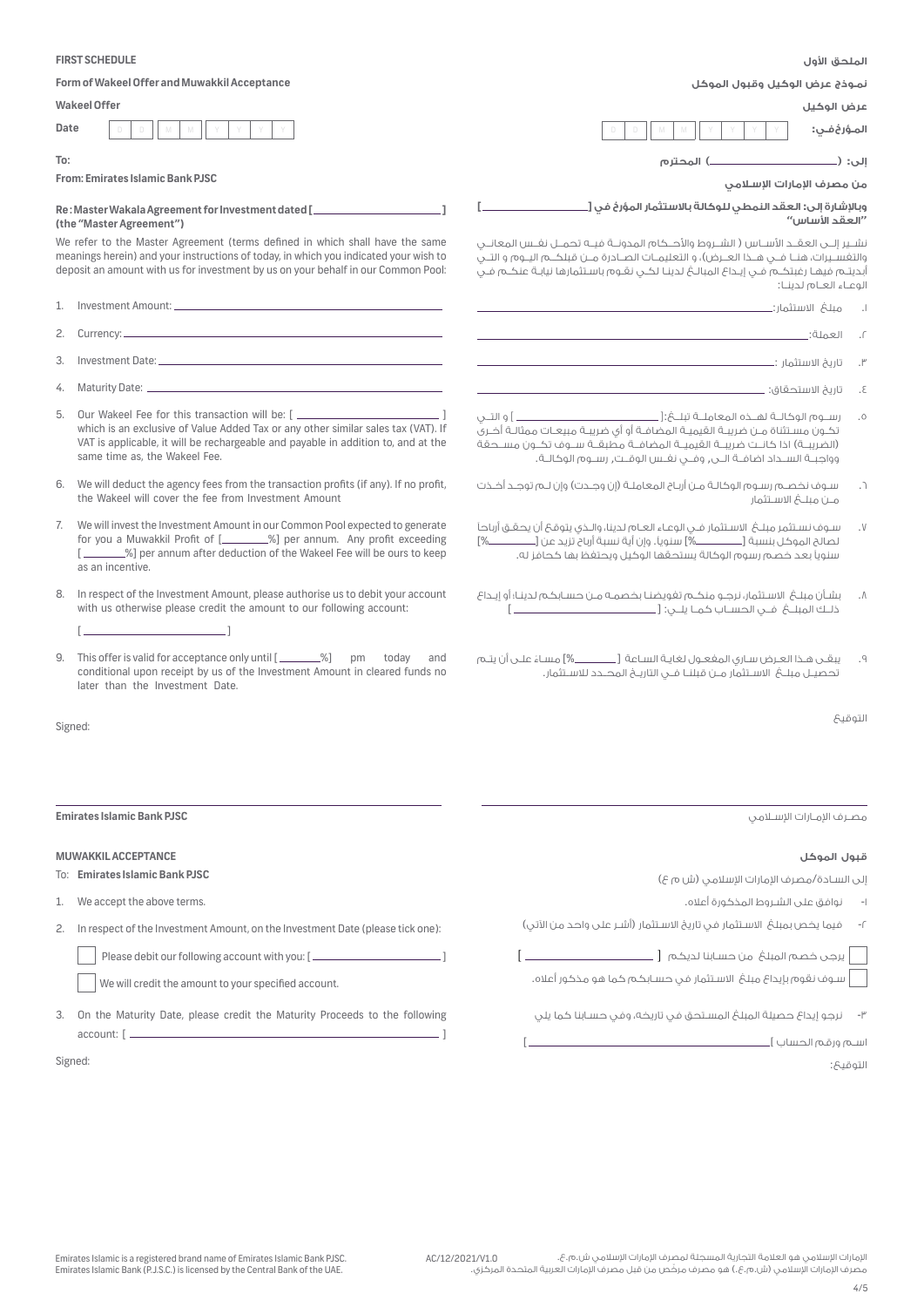|                                                                                                                                                                                                                                                           | <b>FIRST SCHEDULE</b><br>الملحق الأول                                                                                                                                                                                                                                                         |                                                                                                                                                                                                                                                                                                                                                           |  |
|-----------------------------------------------------------------------------------------------------------------------------------------------------------------------------------------------------------------------------------------------------------|-----------------------------------------------------------------------------------------------------------------------------------------------------------------------------------------------------------------------------------------------------------------------------------------------|-----------------------------------------------------------------------------------------------------------------------------------------------------------------------------------------------------------------------------------------------------------------------------------------------------------------------------------------------------------|--|
|                                                                                                                                                                                                                                                           | Form of Wakeel Offer and Muwakkil Acceptance                                                                                                                                                                                                                                                  | نمـوذج عرض الوكيل وقبول الموكل                                                                                                                                                                                                                                                                                                                            |  |
|                                                                                                                                                                                                                                                           | <b>Wakeel Offer</b>                                                                                                                                                                                                                                                                           | عرض الوكيل                                                                                                                                                                                                                                                                                                                                                |  |
| Date                                                                                                                                                                                                                                                      |                                                                                                                                                                                                                                                                                               |                                                                                                                                                                                                                                                                                                                                                           |  |
| To:                                                                                                                                                                                                                                                       |                                                                                                                                                                                                                                                                                               | إلى: ( <b>___________________)</b> المحترم                                                                                                                                                                                                                                                                                                                |  |
| From: Emirates Islamic Bank PJSC<br>من مصرف الإمارات الإسلامى                                                                                                                                                                                             |                                                                                                                                                                                                                                                                                               |                                                                                                                                                                                                                                                                                                                                                           |  |
|                                                                                                                                                                                                                                                           | Re: Master Wakala Agreement for Investment dated [ ______________________<br>(the "Master Agreement")                                                                                                                                                                                         | وبالإشارة إلى: العقد النمطي للوكالة بالاستثمار المؤرخ في [_<br>"العقد الأساس <sup>"</sup>                                                                                                                                                                                                                                                                 |  |
| We refer to the Master Agreement (terms defined in which shall have the same<br>meanings herein) and your instructions of today, in which you indicated your wish to<br>deposit an amount with us for investment by us on your behalf in our Common Pool: |                                                                                                                                                                                                                                                                                               | نشـــر الـــى العـقـــد الأســـاس ( الشـــروط والأحـــكام المدونـــة فـــــه تحمـــل نفـــس المعانـــى<br>والتفسـيرات، هنــا فـــى هــذا العــرض)، و التعليمــات الصــادرة مــن قبلكـــم اليــوم و التـــى<br>أبديتــم فيهــا رغبتكــم فـــى إيــداع المبالــــغ لدينــا لكـــى نقــوم باســتثمارها نيابــة عنكــم فــى<br>الوعاء العام لدينا:            |  |
| 1.                                                                                                                                                                                                                                                        |                                                                                                                                                                                                                                                                                               | $\Box$                                                                                                                                                                                                                                                                                                                                                    |  |
| 2.                                                                                                                                                                                                                                                        |                                                                                                                                                                                                                                                                                               | <u> 1989 - Johann Stein, marwolaethau a bhann an t-Amhair ann an t-Amhair an t-Amhair an t-Amhair an t-Amhair an</u><br>العملة:<br>$\cdot$ $\Gamma$                                                                                                                                                                                                       |  |
| 3.                                                                                                                                                                                                                                                        |                                                                                                                                                                                                                                                                                               | $\cdot$ $\mathsf{r}$                                                                                                                                                                                                                                                                                                                                      |  |
| 4.                                                                                                                                                                                                                                                        |                                                                                                                                                                                                                                                                                               | .5                                                                                                                                                                                                                                                                                                                                                        |  |
|                                                                                                                                                                                                                                                           |                                                                                                                                                                                                                                                                                               |                                                                                                                                                                                                                                                                                                                                                           |  |
| 5.                                                                                                                                                                                                                                                        | Our Wakeel Fee for this transaction will be: [ _________________________________ ]<br>which is an exclusive of Value Added Tax or any other similar sales tax (VAT). If<br>VAT is applicable, it will be rechargeable and payable in addition to, and at the<br>same time as, the Wakeel Fee. | رســـوم الوكالـــة لهـــذه المعاملـــة تبلـــعْ:[ __________________________________ ] و التــــن<br>.0<br>تحُـون مسـتثناة مـن ضريبـة القيميـة المضافـة أو أى ضريبـة مبيعـات ممثالـة أخـرى<br>(الضريبـة) اذا كانـت ضريبــة القيميــة المضافــة مطبقــة ســوف تكــون مســحقة<br>وواجبــة الســداد اضافــة الــــى, وفـــى نفــس الوقــت, رســوم الوكالــة. |  |
| 6.                                                                                                                                                                                                                                                        | We will deduct the agency fees from the transaction profits (if any). If no profit,<br>the Wakeel will cover the fee from Investment Amount                                                                                                                                                   | سـوف نخصــم رسـوم الوكالـة مـن أربـاح المعاملـة (إن وجــدت) وإن لـم توجـد أخـذت<br>$\cdot$<br>مـــر) مـىلـــــمُ الاســـتثمار                                                                                                                                                                                                                             |  |
| 7.                                                                                                                                                                                                                                                        | We will invest the Investment Amount in our Common Pool expected to generate<br>for you a Muwakkil Profit of [_________%] per annum. Any profit exceeding<br>[ _______%] per annum after deduction of the Wakeel Fee will be ours to keep<br>as an incentive.                                 | سـوف نسـتثمِر مبلـــمُ الاسـتثمار فـــى الوعــاء الـعــام لـدينا، والــذى يتوقــمْ أن يحقــق أرباحـاً<br>$\cdot$ V<br>سنوياً بعد خصم رسوم الوكالة يستحقها الوكيل ويحتفظ بها كحافز له.                                                                                                                                                                     |  |
| 8.                                                                                                                                                                                                                                                        | In respect of the Investment Amount, please authorise us to debit your account<br>with us otherwise please credit the amount to our following account:                                                                                                                                        | بشـأن مبلـغ  الاسـتثمار، نرجـو منكـم تفويضنـا بخصمـه مـن حسـابكـم لـدينـا؛ أو إيـداع<br>$\Lambda$                                                                                                                                                                                                                                                         |  |
| 9.                                                                                                                                                                                                                                                        | and<br>conditional upon receipt by us of the Investment Amount in cleared funds no<br>later than the Investment Date.                                                                                                                                                                         | يبقـــــ مــذا العــرض ســارى المفعــول لغايــة الـســاعة [___________%] مسـاءٌ علـــى أن يتــم<br>.9<br>تحصيـــل مبلـــــفي الاســـتثمار مـــن قبلنـــا فـــى التاريـــــفي المصـــدد للاســتثمار.                                                                                                                                                       |  |
| التوقىح<br>Signed:                                                                                                                                                                                                                                        |                                                                                                                                                                                                                                                                                               |                                                                                                                                                                                                                                                                                                                                                           |  |
|                                                                                                                                                                                                                                                           |                                                                                                                                                                                                                                                                                               |                                                                                                                                                                                                                                                                                                                                                           |  |
| <b>Emirates Islamic Bank PJSC</b>                                                                                                                                                                                                                         |                                                                                                                                                                                                                                                                                               | مصـرف الإمـارات الإســلامـں                                                                                                                                                                                                                                                                                                                               |  |
| <b>MUWAKKIL ACCEPTANCE</b>                                                                                                                                                                                                                                |                                                                                                                                                                                                                                                                                               | قبول الموكل                                                                                                                                                                                                                                                                                                                                               |  |
|                                                                                                                                                                                                                                                           | To: Emirates Islamic Bank PJSC                                                                                                                                                                                                                                                                | إلى السادة/مصرف الإمارات الإسلامى (ش م ع)                                                                                                                                                                                                                                                                                                                 |  |
| 1.                                                                                                                                                                                                                                                        | We accept the above terms.                                                                                                                                                                                                                                                                    | نوافق على الشـروط المذكورة أعلاه.<br>$-1$                                                                                                                                                                                                                                                                                                                 |  |
| 2.                                                                                                                                                                                                                                                        | In respect of the Investment Amount, on the Investment Date (please tick one):                                                                                                                                                                                                                | فيما يخص بمبلغ الاسـتثمار في تاريخ الاسـتثمار (أشـر على واحد من الآتي)<br>$-\sqrt{2}$                                                                                                                                                                                                                                                                     |  |
|                                                                                                                                                                                                                                                           | Please debit our following account with you: [___________________________________                                                                                                                                                                                                             |                                                                                                                                                                                                                                                                                                                                                           |  |
|                                                                                                                                                                                                                                                           | We will credit the amount to your specified account.                                                                                                                                                                                                                                          | ســوف نـقوم بإيداع مبلـــفـ الاســتثمار فـــن حـســابـكــم كــها هـو مـذكـور أعلاه.                                                                                                                                                                                                                                                                       |  |
| 3.                                                                                                                                                                                                                                                        | On the Maturity Date, please credit the Maturity Proceeds to the following                                                                                                                                                                                                                    | نرجو إيداع حصيلة المبلغ المستحق في تاريخه، وفي حسابنا كما يلي                                                                                                                                                                                                                                                                                             |  |
|                                                                                                                                                                                                                                                           | Signed:                                                                                                                                                                                                                                                                                       |                                                                                                                                                                                                                                                                                                                                                           |  |
|                                                                                                                                                                                                                                                           |                                                                                                                                                                                                                                                                                               | <b>Linois:</b>                                                                                                                                                                                                                                                                                                                                            |  |

التوقيع: